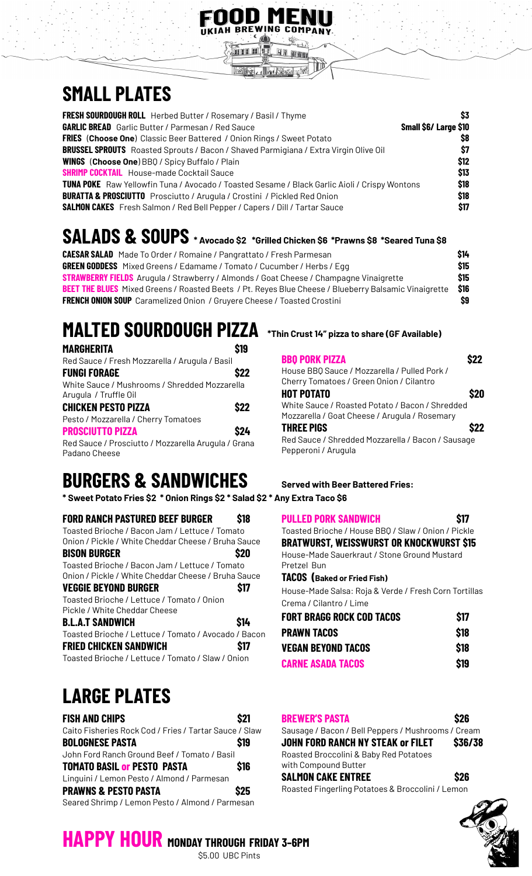

### **SMALL PLATES**

| <b>FRESH SOURDOUGH ROLL</b> Herbed Butter / Rosemary / Basil / Thyme                                 | \$3                   |
|------------------------------------------------------------------------------------------------------|-----------------------|
| <b>GARLIC BREAD</b> Garlic Butter / Parmesan / Red Sauce                                             | Small \$6/ Large \$10 |
| <b>FRIES</b> (Choose One) Classic Beer Battered / Onion Rings / Sweet Potato                         | S8                    |
| <b>BRUSSEL SPROUTS</b> Roasted Sprouts / Bacon / Shaved Parmigiana / Extra Virgin Olive Oil          | \$7                   |
| <b>WINGS</b> (Choose One) BBQ / Spicy Buffalo / Plain                                                | \$12                  |
| <b>SHRIMP COCKTAIL</b> House-made Cocktail Sauce                                                     | \$13                  |
| <b>TUNA POKE</b> Raw Yellowfin Tuna / Avocado / Toasted Sesame / Black Garlic Aioli / Crispy Wontons | \$18                  |
| <b>BURATTA &amp; PROSCIUTTO</b> Prosciutto / Arugula / Crostini / Pickled Red Onion                  | \$18                  |
| <b>SALMON CAKES</b> Fresh Salmon / Red Bell Pepper / Capers / Dill / Tartar Sauce                    | \$17                  |
|                                                                                                      |                       |

### **SALADS & SOUPS \* Avocado \$2 \*Grilled Chicken \$6 \*Prawns \$8 \*Seared Tuna \$8**

| <b>CAESAR SALAD</b> Made To Order / Romaine / Pangrattato / Fresh Parmesan                                  | \$14 |
|-------------------------------------------------------------------------------------------------------------|------|
| <b>GREEN GODDESS</b> Mixed Greens / Edamame / Tomato / Cucumber / Herbs / Eqq                               | \$15 |
| <b>STRAWBERRY FIELDS</b> Arugula / Strawberry / Almonds / Goat Cheese / Champagne Vinaigrette               | \$15 |
| <b>BEET THE BLUES</b> Mixed Greens / Roasted Beets / Pt. Reyes Blue Cheese / Blueberry Balsamic Vinaigrette | \$16 |
| <b>FRENCH ONION SOUP</b> Caramelized Onion / Gruyere Cheese / Toasted Crostini                              | \$9  |

### **MALTED SOURDOUGH PIZZA \*Thin Crust 14" pizza to share (GF Available)**

| MARGHERITA                                                             | \$19 |
|------------------------------------------------------------------------|------|
| Red Sauce / Fresh Mozzarella / Arugula / Basil                         |      |
| <b>FUNGI FORAGE</b>                                                    | \$22 |
| White Sauce / Mushrooms / Shredded Mozzarella<br>Arugula / Truffle Oil |      |
| <b>CHICKEN PESTO PIZZA</b>                                             | \$22 |
| Pesto / Mozzarella / Cherry Tomatoes                                   |      |
| <b>PROSCIUTTO PIZZA</b>                                                | \$24 |
| Red Sauce / Prosciutto / Mozzarella Arugula / Grana<br>Padano Cheese   |      |

### **BURGERS & SANDWICHES Served with Beer Battered Fries:**

**\* Sweet Potato Fries \$2 \* Onion Rings \$2 \* Salad \$2 \* Any Extra Taco \$6**

| <b>FORD RANCH PASTURED BEEF BURGER</b>              | \$18 |
|-----------------------------------------------------|------|
| Toasted Brioche / Bacon Jam / Lettuce / Tomato      |      |
| Onion / Pickle / White Cheddar Cheese / Bruha Sauce |      |
| <b>BISON BURGER</b>                                 | \$20 |
| Toasted Brioche / Bacon Jam / Lettuce / Tomato      |      |
| Onion / Pickle / White Cheddar Cheese / Bruha Sauce |      |

| <b>VEGGIE BEYOND BURGER</b>                          | \$17 |
|------------------------------------------------------|------|
| Toasted Brioche / Lettuce / Tomato / Onion           |      |
| Pickle / White Cheddar Cheese                        |      |
| <b>B.L.A.T SANDWICH</b>                              | \$14 |
| Toasted Brioche / Lettuce / Tomato / Avocado / Bacon |      |
| <b>FRIED CHICKEN SANDWICH</b>                        | \$17 |

### Toasted Brioche / Lettuce / Tomato / Slaw / Onion

### **LARGE PLATES**

| <b>FISH AND CHIPS</b>                                  | \$21       |
|--------------------------------------------------------|------------|
| Caito Fisheries Rock Cod / Fries / Tartar Sauce / Slaw |            |
| <b>BOLOGNESE PASTA</b>                                 | <b>S19</b> |
| John Ford Ranch Ground Beef / Tomato / Basil           |            |
| <b>TOMATO BASIL or PESTO PASTA</b>                     | \$16       |
| Linguini / Lemon Pesto / Almond / Parmesan             |            |
| <b>PRAWNS &amp; PESTO PASTA</b>                        | \$25       |
| Seared Shrimp / Lemon Pesto / Almond / Parmesan        |            |

| <b>BBO PORK PIZZA</b>                                                                            |  |
|--------------------------------------------------------------------------------------------------|--|
| House BBQ Sauce / Mozzarella / Pulled Pork /                                                     |  |
| Cherry Tomatoes / Green Onion / Cilantro                                                         |  |
| <b>HOT POTATO</b>                                                                                |  |
| White Sauce / Roasted Potato / Bacon / Shredded<br>Mozzarella / Goat Cheese / Arugula / Rosemary |  |
| <b>THREE PIGS</b>                                                                                |  |
| Red Sauce / Shredded Mozzarella / Bacon / Sausage<br>Pepperoni / Arugula                         |  |

| <b>PULLED PORK SANDWICH</b>                           | \$17 |
|-------------------------------------------------------|------|
| Toasted Brioche / House BBQ / Slaw / Onion / Pickle   |      |
| <b>BRATWURST, WEISSWURST OR KNOCKWURST \$15</b>       |      |
| House-Made Sauerkraut / Stone Ground Mustard          |      |
| Pretzel Bun                                           |      |
| <b>TACOS</b> (Baked or Fried Fish)                    |      |
| House-Made Salsa: Roja & Verde / Fresh Corn Tortillas |      |
| Crema / Cilantro / Lime                               |      |
| <b>FORT BRAGG ROCK COD TACOS</b>                      | \$17 |
| <b>PRAWN TACOS</b>                                    | \$18 |
| <b>VEGAN BEYOND TACOS</b>                             | \$18 |

| .                        | ---  |
|--------------------------|------|
| <b>CARNE ASADA TACOS</b> | \$19 |

| <b>BREWER'S PASTA</b>                              | \$26    |
|----------------------------------------------------|---------|
| Sausage / Bacon / Bell Peppers / Mushrooms / Cream |         |
| <b>JOHN FORD RANCH NY STEAK or FILET</b>           | \$36/38 |
| Roasted Broccolini & Baby Red Potatoes             |         |
| with Compound Butter                               |         |
| <b>SALMON CAKE ENTREE</b>                          | \$26    |
| Roasted Fingerling Potatoes & Broccolini / Lemon   |         |



# **HAPPY HOUR MONDAY THROUGH FRIDAY 3–6PM**

\$5.00 UBC Pints